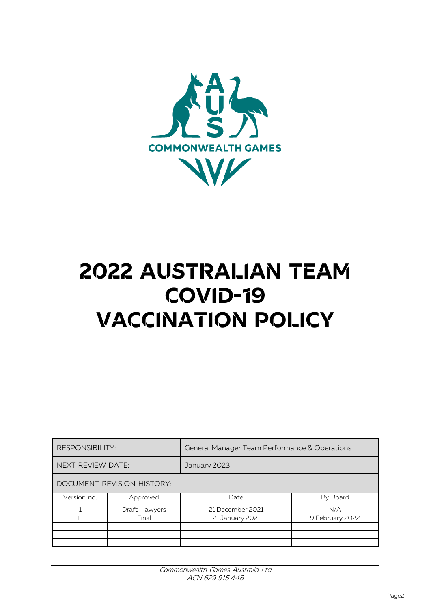

## **2022 australian team COVID-19 VACCINATION POLICY**

| <b>RESPONSIBILITY:</b>     |                 | General Manager Team Performance & Operations |                 |
|----------------------------|-----------------|-----------------------------------------------|-----------------|
| <b>NEXT REVIEW DATE:</b>   |                 | January 2023                                  |                 |
| DOCUMENT REVISION HISTORY: |                 |                                               |                 |
| Version no.                | Approved        | Date                                          | By Board        |
|                            | Draft - lawyers | 21 December 2021                              | N/A             |
| 1.1                        | Final           | 21 January 2021                               | 9 February 2022 |
|                            |                 |                                               |                 |
|                            |                 |                                               |                 |
|                            |                 |                                               |                 |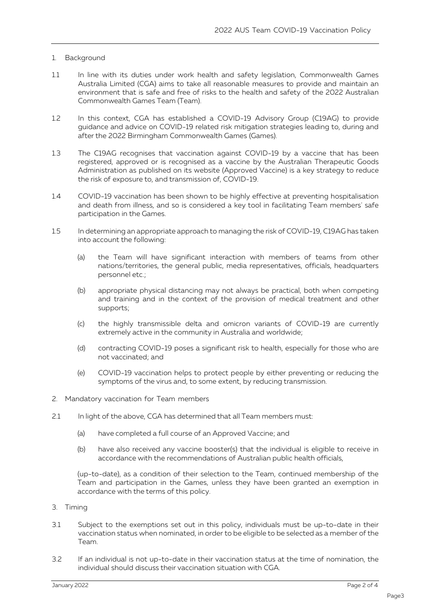## 1. Background

- 1.1 In line with its duties under work health and safety legislation, Commonwealth Games Australia Limited (CGA) aims to take all reasonable measures to provide and maintain an environment that is safe and free of risks to the health and safety of the 2022 Australian Commonwealth Games Team (Team).
- 1.2 In this context, CGA has established a COVID-19 Advisory Group (C19AG) to provide guidance and advice on COVID-19 related risk mitigation strategies leading to, during and after the 2022 Birmingham Commonwealth Games (Games).
- 1.3 The C19AG recognises that vaccination against COVID-19 by a vaccine that has been registered, approved or is recognised as a vaccine by the Australian Therapeutic Goods Administration as published on its website (Approved Vaccine) is a key strategy to reduce the risk of exposure to, and transmission of, COVID-19.
- 1.4 COVID-19 vaccination has been shown to be highly effective at preventing hospitalisation and death from illness, and so is considered a key tool in facilitating Team members' safe participation in the Games.
- 1.5 In determining an appropriate approach to managing the risk of COVID-19, C19AG has taken into account the following:
	- (a) the Team will have significant interaction with members of teams from other nations/territories, the general public, media representatives, officials, headquarters personnel etc.;
	- (b) appropriate physical distancing may not always be practical, both when competing and training and in the context of the provision of medical treatment and other supports;
	- (c) the highly transmissible delta and omicron variants of COVID-19 are currently extremely active in the community in Australia and worldwide;
	- (d) contracting COVID-19 poses a significant risk to health, especially for those who are not vaccinated; and
	- (e) COVID-19 vaccination helps to protect people by either preventing or reducing the symptoms of the virus and, to some extent, by reducing transmission.
- 2. Mandatory vaccination for Team members
- 2.1 In light of the above, CGA has determined that all Team members must:
	- (a) have completed a full course of an Approved Vaccine; and
	- (b) have also received any vaccine booster(s) that the individual is eligible to receive in accordance with the recommendations of Australian public health officials,

(up-to-date), as a condition of their selection to the Team, continued membership of the Team and participation in the Games, unless they have been granted an exemption in accordance with the terms of this policy.

- 3. Timing
- 3.1 Subject to the exemptions set out in this policy, individuals must be up-to-date in their vaccination status when nominated, in order to be eligible to be selected as a member of the Team.
- 3.2 If an individual is not up-to-date in their vaccination status at the time of nomination, the individual should discuss their vaccination situation with CGA.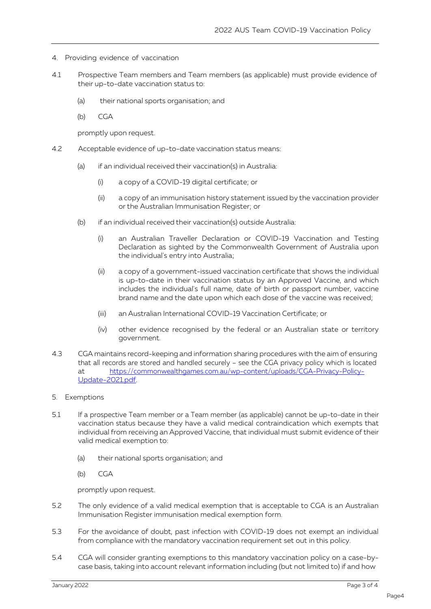- 4. Providing evidence of vaccination
- 4.1 Prospective Team members and Team members (as applicable) must provide evidence of their up-to-date vaccination status to:
	- (a) their national sports organisation; and
	- (b) CGA

promptly upon request.

- 4.2 Acceptable evidence of up-to-date vaccination status means:
	- (a) if an individual received their vaccination(s) in Australia:
		- (i) a copy of a COVID-19 digital certificate; or
		- (ii) a copy of an immunisation history statement issued by the vaccination provider or the Australian Immunisation Register; or
	- (b) if an individual received their vaccination(s) outside Australia:
		- (i) an Australian Traveller Declaration or COVID-19 Vaccination and Testing Declaration as sighted by the Commonwealth Government of Australia upon the individual's entry into Australia;
		- (ii) a copy of a government-issued vaccination certificate that shows the individual is up-to-date in their vaccination status by an Approved Vaccine, and which includes the individual's full name, date of birth or passport number, vaccine brand name and the date upon which each dose of the vaccine was received;
		- (iii) an Australian International COVID-19 Vaccination Certificate; or
		- (iv) other evidence recognised by the federal or an Australian state or territory government.
- 4.3 CGA maintains record-keeping and information sharing procedures with the aim of ensuring that all records are stored and handled securely – see the CGA privacy policy which is located at [https://commonwealthgames.com.au/wp-content/uploads/CGA-Privacy-Policy-](https://commonwealthgames.com.au/wp-content/uploads/CGA-Privacy-Policy-Update-2021.pdf)[Update-2021.pdf.](https://commonwealthgames.com.au/wp-content/uploads/CGA-Privacy-Policy-Update-2021.pdf)
- 5. Exemptions
- 5.1 If a prospective Team member or a Team member (as applicable) cannot be up-to-date in their vaccination status because they have a valid medical contraindication which exempts that individual from receiving an Approved Vaccine, that individual must submit evidence of their valid medical exemption to:
	- (a) their national sports organisation; and
	- (b) CGA

promptly upon request.

- 5.2 The only evidence of a valid medical exemption that is acceptable to CGA is an Australian Immunisation Register immunisation medical exemption form.
- 5.3 For the avoidance of doubt, past infection with COVID-19 does not exempt an individual from compliance with the mandatory vaccination requirement set out in this policy.
- 5.4 CGA will consider granting exemptions to this mandatory vaccination policy on a case-bycase basis, taking into account relevant information including (but not limited to) if and how